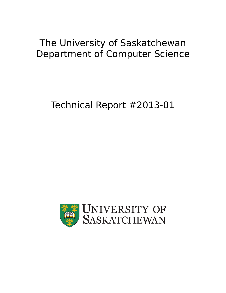# The University of Saskatchewan Department of Computer Science

# Technical Report #2013-01

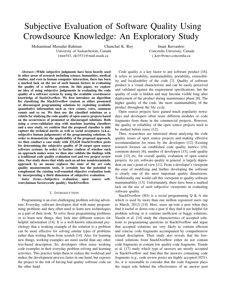# Subjective Evaluation of Software Quality Using Crowdsource Knowledge: An Exploratory Study

Mohammad Masudur Rahman Chanchal K. Roy

University of Saskatchewan, Canada {mor543, ckr353}@mail.usask.ca

Iman Keivanloo

*Abstract*—While subjective judgments have been heavily used in other areas of research including science, humanities, medical studies, and even in human computer interaction, there has been a marked lack on the use of such human factors in evaluating the quality of a software system. In this paper, we explore an idea of using subjective judgements in evaluating the code quality of a software system by using the available crowdsource knowledge of StackOverflow. We first introduce an algorithm for classifying the StackOverflow content as either promoted or discouraged programming solutions by exploiting available quantitative information such as view counts, votes, comment counts and so on. We then use the classified solutions as a vehicle for studying the code quality of open source projects based on the occurrences of promoted or discouraged solutions. Both using a cross-validation step with machine learning classifiers and a user study, we confirm that the proposed classifier is able capture the technical merits as well as social acceptance (a.k.a., subjective human judgements) of the programming solutions. In order to demonstrate the applicability of the proposed approach, we then conduct a case study with 332,628 StackOverflow posts for determining the subjective quality of 20 target open source software systems. In order to further confirm of whether such an approach makes sense we then also validate the findings with a traditional code quality evaluation tool and two project review sites. Our study shows that while such an ad-hoc nondeterministic approach by no means replaces the state of the art code quality measurements tools, it certainly has the potential to complement the existing well-rounded objective evaluation tools by incorporating a third dimension of subjective evaluation.

*Index Terms*—Subjective evaluation; open source software;human factors;code quality; StackOverflow.

#### I. INTRODUCTION

Programming is an ever-challenging problem solving adventure. Everyday, software developers deal with many programming problems and they often need to learn new technologies as a part of their work. To solve those programming problems or to learn new things, they look into different sources for helpful information [14]. It is a well-known educational psychology that a working example of the solution to a problem can be more effective for solving similar types of problems rather than writing them from scratch [14]. Also, for learning new things, working examples are more useful than any other text-based description. So, developers often reuse working code examples in their everyday problem solving and learning activities. This practice helps them to reduce the workload and makes the development process faster in one hand, but exposes the project to the risk of having bad quality software code on the other hand.

Code quality is a key factor to any software product [16]. It refers to testability, maintainability, portability, extensibility and localizability of the code [7]. Quality of software product is a visual characteristic and can be easily perceived and validated against the requirement specifications, but the quality of code is hidden and may become visible long after deployment of the product during maintenance phase [8]. The higher quality of the code, the more maintainability of the product throughout the life cycle.

Open source projects have gained much popularity nowadays and developers often reuse different modules or code fragments from them in the commercial projects. However, the quality or reliability of the open source projects need to be studied before reuse [12].

Thus, researchers are interested about analyzing the code quality issues of open source projects and making effective recommendation for reuse by the developers [12]. Existing research focuses on established code quality metrics [10], comment density [6], number of developers [15], code quality tools [12] etc. for overall quality evaluation of open source projects. As yet, software quality in general, is largely dependent on one's point of view [11]. From a developer's viewpoint the ease of modifying and further developing the software is clearly one of the most important quality dimensions. Traditionally one would call this viewpoint to quality software maintainability [13]. Unfortunately, there have been a marked lack on the use of such subjective viewpoints in evaluating software quality.

StackOverflow (SO) is a social programming  $Q \& A$  site which is used by more than one million registered users (up to March, 2012) [14]. Here, users up-vote a post when they find it useful or down-vote a post if they find it not helpful for problem solving or it contains inefficient or buggy solutions. Nasehi et al. [14] study the characteristics of accepted solutions to programming questions in StackOverflow and argue that accepted solutions are very likely to contain efficient and concise code fragments accompanied by comprehensive textual description. Their study also reveals that the lowvoted solutions from StackOverflow either do not contain code fragments or contain low quality code fragments. Treude et al. [17] study which type of answers are mostly accepted in StackOverflow and find that the answers containing code fragments (e.g., code review posts) are highly accepted (92%). So, it is reasonable to consider that the code fragment plays the major role behind the effectiveness of an answer post

Concordia University, Canada i\_keiv@encs.concordia.ca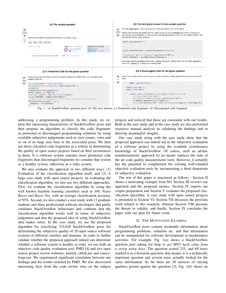

Fig. 1. (a) StackOverflow question post, (b) The best answer, (c) Promoted code fragment, (d) Discouraged code fragment

addressing a programming problem. In this study, we exploit this interesting characteristic of StackOverflow posts and then propose an algorithm to classify the code fragments as promoted or discouraged programming solutions by using available subjective judgements such as view counts, votes and so on of its large user base in the associated posts. We then use those classified code fragments as a vehicle in determining the quality of open source projects based on their occurrences in them. If a software system contains more promoted code fragments than discouraged fragments we consider that system as a healthy system, otherwise as a risky system.

We also evaluate the approach in two different ways: (1) Evaluation of the classification algorithm itself, and (2) A large case study with open source projects. In evaluating the classification algorithm, we also use two different approaches. First, we evaluate the classification algorithm by using the well known machine learning classifiers such as *J48, Naive Bayes and Bayes Net*, with an average classification accuracy of 93%. Second, we also conduct a user study with 13 graduate students and three professional software developers that partly simulates StackOverflow behaviours and confirms that the classification algorithm works well in terms of subjective judgement and that the proposed idea of using StackOverflow data makes sense. In the case study, we use the proposed algorithm for classifying 332,628 StackOverflow posts for determining the subjective quality of 20 open source software systems of different varieties and domains. In order to further validate whether the proposed approach indeed can determine whether a software system is healthy or risky, we use both an objective code quality evaluation tool, PMD [4] and two open source project review websites, namely, ohloh.net and sourceforge.net. We experienced significant correlation between our findings and the results returned by PMD. We also discovered interesting facts from the code review sites on the subject

projects and noticed that those are consistent with our results. Both in the user study and in the case study we also performed extensive manual analysis in validating the findings and in deriving meaningful insights.

Our case study along with the user study show that the proposed approach can indeed aid in the subjective evaluation of a software project by using the available crowdsource knowledge of StackOverflow. Of course, such an ad-hoc nondeterministic approach by no means replaces the state of the art code quality measurements tools. However, it certainly has the potential to complement the existing well-rounded objective evaluation tools by incorporating a third dimension of subjective evaluation.

The rest of this paper is structured as follows - Section II shows a motivating example from SO. Section III reviews our approach and the proposed metrics. Section IV reports our corpus preparation and Section V evaluates the proposed classification algorithm. A case study with open source projects is presented in Section VI. Section VII discusses the previous work related to this research, whereas Section VIII presents the threats to validity, and finally, Section IX concludes the paper with our plan for future work.

### II. THE MOTIVATING EXAMPLE

StackOverflow posts contain invaluable information about programming problems, solutions etc. and that information can be manipulated for software development or maintenance activities. For example, Fig. 1(a) shows a StackOverflow question post asking for help *to get MD5 hash value from a string using Java*. The question scored 235, and 69 users marked it as a favourite question; that means, it is a technically important question and several users actually looked for the same information. So far there are 20 answers of varying qualities posted against the question [3]. Fig. 1(b) shows an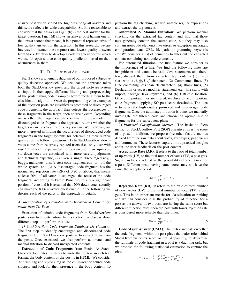answer post which scored the highest among all answers and this score reflects its wide acceptability. So, it is reasonable to consider that the answer in Fig. 1(b) is the best answer for the target question. Fig. 1(d) shows an answer post having one of the lowest scores; that means, it is a potential representative of low quality answer for the question. In this research, we are interested to extract these topmost and lowest quality answers from StackOverflow to develop a code fragment corpus which we use for open source code quality prediction based on their occurrences in them.

#### III. THE PROPOSED APPROACH

Fig. 2 shows a schematic diagram of our proposed subjective quality detection approach. We see that the approach takes both the StackOverflow posts and the target software system as input. It then apply different filtering and preprocessing of the posts having code examples before feeding them to the classification algorithm. Once the programming code examples of the question posts are classified as promoted or discouraged code fragments, the approach then detects the occurrences of these fragments in the target open source system. Depending on whether the target system contains more promoted or discouraged code fragments the approach returns whether the target system is a healthy or risky system. We, however, are more interested in finding the occurrences of discouraged code fragments in the target systems for determining their relative quality for the following reasons: (1) In StackOverflow, downvotes come from relatively reputed users (i.e., only user with *reputation>125* is permitted to down-vote) than up-votes, so, down-votes are associated with more careful judgments and technical expertise, (2) Even a single discouraged (e.g., buggy, malicious, unsafe etc.) code fragment can turn off the whole system, and (3) A discouraged code fragment has the normalized rejection rate (RR) of 0.20 or above, that means at least 20% of all voters discouraged the reuse of the code fragment. According to Pareto Principle, this is a significant portion of vote and it is assumed that 20% down-votes actually can make the 80% up-votes questionable. In the following we discuss each of the parts of the approach in details.

# *A. Identification of Promoted and Discouraged Code Fragments from SO Posts*

Extraction of suitable code fragments from StackOverflow posts is our first contribution. In this section, we discuss about different steps to perform that task.

*1) StackOverflow Code Fragment Database Development:* The first step to identify encouraged and discouraged code fragments from StackOverflow posts is to extract them from the posts. Once extracted, we also perform automated and manual filtration to discard unexpected contents.

Extraction of Code Fragments from Posts: As Stack-Overflow facilitates the users to write the content in rich text format, the body content of the post is in HTML. We consider <code> tag and <pre> tag as the *containers* of source code snippets and look for their presence in the body content. To

perform the tag checking, we use suitable regular expressions and extract the tag content.

Automated & Manual Filtration: We perform manual checking on the extracted tag content and find that those tags generally contain the source code, but they may also contain non-code elements like errors or exception messages, configuration data, URL, file path, programming keywords etc. We consider a list of heuristics to filter out the extracted content containing non-code elements.

For automated filtration, the first feature we consider is the importance of a line. We find the following lines are insignificant and cannot be valid Java statements and therefore, discard them from extracted tag content- (1) Lines start with  $\langle 0, 1, 2, 3, 4, 8, 1 \rangle$  characters, (2) Commented lines, (3) Line containing less than 20 characters, (4) Blank lines, (5) Declaration or access modifier statements e.g., line starts with import, package Java keywords, and (6) URL/file location. Once unimportant lines are filtered, we discard the unimportant code fragments applying SO post score thresholds. The idea is to select the high quality promoted and discouraged code fragments. Once the automated filtration is done, we manually investigate the filtered code and choose an optimal list of fragments for the subsequent phase.

*2) Proposed Classification Metrics:* The basic de facto metric for StackOverflow Post (SOP) classification is the score of a post. In addition, we propose five other feature metrics derived from the raw data about votes, vote types, page views and comments. These features capture more practical insights about the user feedback on the post content.

Acceptance Rate (AR): It refers to the ratio of total number of up-votes (UV) to the total number of votes (TV) a post gets. So, it can be considered as the probability of acceptance for a post. Different posts having same score, may not have the same the acceptance rate.

$$
AR = \frac{UV}{TV}, TV > 0
$$
 (1)

Rejection Rate (RR): It refers to the ratio of total number of down-votes (DV) to the total number of votes (TV) a post gets. This is an important metric for classification or ranking and we can consider it as the probability of rejection for a post as the answer. If two posts are having the same score but different rejection rates, then the post with lower rejection rate is considered more reliable than the other.

$$
RR = \frac{DV}{TV}, TV > 0
$$
\n<sup>(2)</sup>

Code Major Answer (CMA): The metric indicates whether the code fragments within the post plays the major role behind StackOverflow post's score or not. Apparently, to determine the rationale of code fragment in a post is a daunting task, but we propose the following statistical estimation to capture the idea.

$$
CMA = \begin{cases} 1 & \text{if } SC_{avg} \geq = ST_{avg} \\ 0 & \text{if } SC_{avg} > ST_{avg} . \end{cases}
$$
 (3)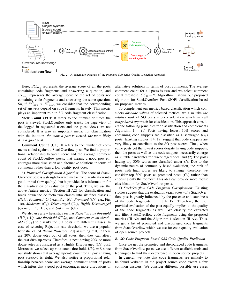

Here,  $SC_{avg}$  represents the average score of all the posts containing code fragments and answering a question, and  $ST_{avg}$  represents the average score of the set of posts not containing code fragments and answering the same question. So, if  $SC_{ava} > ST_{ava}$ , we consider that the corresponding set of answers depend on code fragments heavily. This metric plays an important role in SO code fragment classification.

View Count (VC): It refers to the number of times the post is viewed. StackOverflow only tracks the page view of the logged in registered users and the guest views are not considered. It is also an important metric for classification with the intuition- *the more a post is viewed, the more likely it is a good post*.

Comment Count (CC): It refers to the number of comments added against a StackOverflow post. We find a proportional relationship between score and the average comment count of StackOverflow posts; that means, a good post encourages more discussion and alternative solutions in terms of comments rather than a low quality post does.

*3) Proposed Classification Algorithm:* The score of Stack-Overflow post is a straightforward metric for classification into good or bad (low quality), but it provides less information for the classification or evaluation of the post. Thus, we use the above feature metrics (Section III-A2) for classification and break down the de facto two classes into six finer classes - *Highly Promoted* ( $C_1$ )-e.g., Fig. 1(b), *Promoted* ( $C_2$ )-e.g., Fig. 1(c), *Moderate* (C3), *Discouraged* (C4), *Highly Discouraged*  $(C_5)$ -e.g., Fig. 1(d), and *Unknown*  $(C_6)$ .

We also use a few heuristics such as *Rejection rate threshold*  $(RR_0)$ , Up-vote threshold  $(UV_0)$ , and *Comment count threshold*  $(CC_0)$  to classify the SO posts into different classes. In case of selecting Rejection rate threshold, we use a popular heuristic called *Pareto Principle* [20] assuming that, if there are 20% down-votes out of all votes, then they can affect the rest 80% up-votes. Therefore, a post having 20% or more down-votes is considered as a Highly Discouraged  $(C_5)$  post. Moreover, we select up-vote count threshold,  $UV_0 = 8$  since our study shows that average up-vote count for all posts having post *score>0* is eight. We also notice a proportional relationship between score and average comment count of posts which infers that a good post encourages more discussions or alternative solutions in terms of post comments. The average comment count for all posts is two and we select comment count threshold,  $CC_0 = 2$ . Algorithm 1 shows our proposed algorithm for StackOverflow Post (SOP) classification based on proposed metrics.

To complement our metrics-based classification which considers *absolute values* of selected metrics, we also take *the relative rank* of SO posts into consideration which we call *range based approach* for classification. This approach considers the following principles for classification and complements Algorithm  $1 - (1)$  Posts having lowest  $10\%$  scores and containing code snippets are classified as Discouraged  $(C_4)$ posts. Existing studies [14, 17] suggest that code snippets are very likely to contribute to the SO post scores. Thus, when some posts get the lowest scores despite having code snippets, then the posts as well as the code snippets necessarily emerge as suitable candidates for discouraged ones, and (2) The posts having top 30% scores are classified under  $C_2$ . Due to the dynamic nature of community based evaluation, the rank of posts with high scores are likely to change, therefore, we consider top 30% posts as promoted posts  $(C_2)$  rather than choosing only the topmost. This idea can provide more robust classification for StackOverflow posts.

*4) StackOverflow Code Fragment Classification:* Existing studies suggest that the evaluation (e.g., votes) of a StackOverflow post is greatly influenced by the presence and soundness of the code fragments in it [14, 17]. Therefore, the user provided evaluation of the post equally implies to the quality of the code fragments as well. We classify the extracted and filter StackOverflow code fragments using the proposed metrics (III-A2) and the Algorithm 1 (Section III-A3). Thus, we get a list of promoted and discouraged code fragments from StackOverflow which we use for code quality evaluation of open source projects.

#### *B. SO Code Fragment Based OSS Code Quality Prediction*

Once we get the promoted and discouraged code fragments from StackOverflow posts, we use different available tools and techniques to find their occurrence in open source projects.

In general, we note that code fragments are unlikely to be found verbatim in the project source code except a few common answers. We consider different possible use cases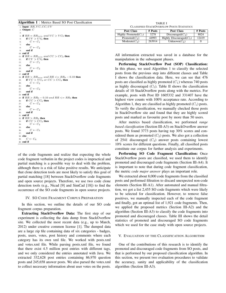#### Algorithm 1 : Metrics Based SO Post Classification

1: Input:  $RR, VC, CC, UV$ 2: Output: C  $\begin{array}{c} \text{3:} \ \text{4: if} \ RR=R{R_{min}} \ and \ VC > VC_0 \ \text{then} \end{array}$ 5: if  $UV > UV_0$  then<br>6:  $C \leftarrow C_1$  $C \leftarrow C_1$ 7: else 8:  $C \leftarrow C_2$ 9: end if 10: end if 11: if  $RR = RR_{min}$  and  $CC > CC_0$  then 12: if  $UV > UV_0$  then<br>13:  $C \leftarrow C_1$ 13:  $C \leftarrow C_1$ <br>14: **else** else 15:  $C \leftarrow C_2$ <br>16: **end if** end if 17: end if 18: if  $RR > RR_{min}$  and  $RR \leq RR_0 - 0.10$  then<br>19: if  $VC > VC_0$  or  $CC > CC_0$  then if  $VC > VC_0$  or  $CC > CC_0$  then 20:  $C \leftarrow C_2$ <br>21: **else** 21: **else**<br>22:  $($  $C \leftarrow C_3$ 23: end if 24: end if 25: if  $RR > RR_0 - 0.10$  and  $RR \leq R_0$  then<br>26: if  $CC > CC_0$  then 26: if  $CC > CC_0$  then<br>27:  $C \leftarrow C_3$  $C \leftarrow C_3$ 28: **else**  $C \leftarrow C_4$ 30: end if 31: end if 32: if  $RR > RR_0$  then<br>33: if  $CC > CC_0$  then if  $CC > CC_0$  then 34:  $C \leftarrow C_4$ <br>35: else else 36:  $C \leftarrow C_5$ <br>37: end if end if 38: else 39:  $C \leftarrow C_6$ 40: end if

of the code fragments and realize that expecting the whole code fragment verbatim in the project codes is impractical and partial matching is a possible way to deal with the problem, although there is a risk of false positive results. We anticipate that clone detection tools are most likely to satisfy this goal of partial matching [18] between StackOverflow code fragments and open source projects. Therefore, we use two code clone detection tools (e.g., Nicad [9] and SimCad [18]) to find the occurrence of the SO code fragments in open source projects.

#### IV. SO CODE FRAGMENT CORPUS PREPARATION

In this section, we outline the details of our SO code fragment corpus preparation.

Extracting StackOverflow Data: The first step of our experiment is collecting the data dump from StackOverflow site. We collected the most recent data (e.g., up to March, 2012) under creative common license [1]. The dumped data are a large zip file containing data of six categories - badges, posts, users, votes, post history and comments where each category has its own xml file. We worked with posts.xml and votes.xml file. While parsing posts.xml file, we found that there exist 4.5 million post entries with different tags, and we only considered the entries annotated with Java. We extracted 332,628 post entries containing 86,970 question posts and 245,658 answer posts. We also parsed the votes.xml to collect necessary information about user votes on the posts.

TABLE I CLASSIFIED STACKOVERFLOW POSTS STATISTICS

| Post Class              | # Posts | Post Class                 | # Posts |
|-------------------------|---------|----------------------------|---------|
| Highly Promoted $(C_1)$ | 3278    | Discouraged $(C_4)$        | 8024    |
| Promoted $(C_2)$        | 44993   | Highly Discouraged $(C_5)$ | 12419   |
| $Moderate(C_3)$         | 263914  | Unknown $(C_6)$            |         |

All information extracted was saved in a database for the manipulation in the subsequent phases.

Performing StackOverflow Post (SOP) Classification: In this phase, we used Algorithm 1 to classify the selected posts from the previous step into different classes and Table I shows the classification data. Here, we can see that 476 posts are classified as highly promoted  $(C_1)$  whereas 740 posts as highly discouraged  $(C_5)$ . Table II shows the classification details of 10 StackOverflow posts along with the metrics. For example, posts with Post ID 1605332 and 331407 have the highest view counts with 100% acceptance rate. According to Algorithm 1, they are classified as highly promoted  $(C_1)$  posts. To verify the classification, we manually checked those posts in StackOverflow site and found that they are highly scored posts and marked as favourite post by more than 50 users.

After metrics based classification, we performed *range based classification* (Section III-A3) on StackOverflow answer posts. We found 3773 posts having top 30% scores and considered them as promoted  $(C_2)$  posts. We also got a collection of 2541 discouraged  $(C_4)$  answer posts containing lowest 10% scores for different questions. Finally, all classified posts constitute our corpus for further analysis and experiments.

Performing SO Code Fragment Classification: Once StackOverflow posts are classified, we used them to identify promoted and discouraged code fragments (Section III-A4). It is important to note that during code fragment classification, the metric *code major answer* plays an important role.

We extracted about 8,000 code fragments from the classified posts and performed filtration to discard unexpected non-code elements (Section III-A1). After automated and manual filtration, we got a list 2,455 SO code fragments which were likely to be selected for classification. However, to remove false positives, we manually inspected each of the code fragment and finally, got an optimal list of 1,921 code fragments. Then, we applied the proposed metrics (Section III-A2) and the algorithm (Section III-A3) to classify the code fragments into promoted and discouraged classes. Table III shows the detail statistics of promoted and discouraged SO code fragments which we used for the case study with open source projects.

#### V. EVALUATION OF THE CLASSIFICATION ALGORITHM

One of the contributions of this research is to identify the promoted and discouraged code fragments from SO posts, and that is performed by our proposed classification algorithm. In this section, we present two evaluation procedures to validate the accuracy, sanity and applicability of the classification algorithm (Section III-A3).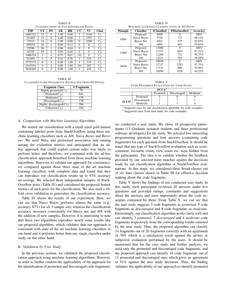TABLE II CLASSIFICATION OF STACKOVERFLOW POSTS

| <b>PID</b> | UV | DV       | AR   | <b>RR</b> | CС       | VC       | <b>Class</b> |
|------------|----|----------|------|-----------|----------|----------|--------------|
| 1605332    | 12 | $\Omega$ | 1.00 | 0.00      | 3        | 5144     | $C_1$        |
| 331407     | 11 | $\Omega$ | 1.00 | 0.00      | 3        | 3707     | $C_1$        |
| 77213      | 14 | $\Omega$ | 1.00 | 0.00      | $\Omega$ | 2286     | $C_2$        |
| 299555     | 16 | 2        | 0.89 | 0.11      | 6        | 0        | $C_3$        |
| 25596      | 26 |          | 0.96 | 0.04      | $\Omega$ | $\Omega$ | $C_3$        |
| 65185      | 45 | 2        | 0.95 | 0.05      | $\Omega$ | $\Omega$ | $C_3$        |
| 1486124    | 2  | 4        | 0.33 | 0.67      | 10       | $\Omega$ | $C_4$        |
| 343491     | 4  | 5        | 0.44 | 0.56      | 3        | 218      | $C_4$        |
| 3772173    | 0  | 3        | 0.00 | 1.00      | 4        | 119      | $C_4$        |
| 3315554    | 0  | 3        | 0.00 | 1.00      | 10       | 202      | $C_5$        |
| 3616265    | 0  | 2        | 0.00 | 1.00      |          | 436      | $C_{\rm 5}$  |

TABLE III CLASSIFIED CODE FRAGMENTS (EXTRACTED FROM SO POSTS)

| <b>Fragment Class</b>             | # Fragments |
|-----------------------------------|-------------|
| Highly promoted $(C_1)$           | 70          |
| $\overline{\text{Promoted}(C_2)}$ | 841         |
| $Moderate(C_3)$                   | 138         |
| Discouraged $(C_4)$               | 138         |
| Highly discouraged $(C_5)$        | 596         |
| Unknown( $C_6$ )                  | 106         |

# *A. Comparison with Machine Learning Algorithms*

We started our classification with a small sized gold dataset containing labeled posts from StackOverflow using three machine learning classifiers such as *J48*, *Naive Bayes* and *Bayes net*. We used *Weka* and performed associative rule mining among the evaluation metrics and anticipated that an adhoc approach that could exploit certain rules was likely to perform better and therefore, we continued with the ad-hoc classification approach benefited from those machine learning algorithms. However, to validate our approach for consistency, we compared against those three state of the art machine learning classifiers with complete data and found that they can reproduce our classification results up to 93% accuracy on average. We selected three independent samples of Stack-Overflow posts (Table IV) and considered the proposed feature metrics of each posts for the classification. We also used a 10 fold cross validation to generalize the classification accuracy.

Table IV shows the results of our experiment. Here, we can see that Naive Bayes performs almost the same (e.g., accuracy 87%) for all 3 sample sets, whereas the classification accuracy increases consistently for Bayes net and J48 with the addition of new samples. However, it is interesting to note that these two algorithms reproduce nearly same results like our proposed algorithm, which validates that our approach is consistent with state of the art machine learning classifiers in one hand and it performs better than any single classifier under study on the other hand.

#### *B. Validation by User Study*

In the previous section, we validated the proposed classification approach using machine learning algorithms. However, in order to further confirm the applicability of the approach for the identification of promoted and discouraged code fragments,

TABLE IV MACHINE LEARNING CLASSIFICATION OF SO POSTS

| #Sample | <b>Classifier</b> | #Classified | #Misclassified | Accuracy |
|---------|-------------------|-------------|----------------|----------|
|         | Proposed          | 6500        | 0              | 100%     |
| 6500    | Naive Bayes       | 5728        | 772            | 88.12%   |
|         | Bayes Net         | 6025        | 475            | 92.69%   |
|         | J48               | 6099        | 401            | 93.83%   |
|         | Proposed          | 13000       | 0              | 100%     |
| 13000   | Naive Bayes       | 11337       | 1663           | 87.21%   |
|         | Bayes Net         | 12268       | 732            | 94.37%   |
|         | J48               | 12231       | 769            | 94.08%   |
|         | Proposed          | 18030       | $\Omega$       | 100%     |
| 18030   | Naive Bayes       | 15747       | 2283           | 87.33%   |
|         | Bayes Net         | 17121       | 909            | 94.96%   |
|         | J48               | 16994       | 1036           | 94.25%   |

TABLE V CODE FRAGMENT EVALUATION BY USER STUDY

|                   | PCCA <sup>1</sup> |          |             |          |  |  |  |  |  |
|-------------------|-------------------|----------|-------------|----------|--|--|--|--|--|
|                   |                   | Promoted | Discouraged | Moderate |  |  |  |  |  |
|                   | Promoted          |          |             |          |  |  |  |  |  |
| SCUS <sup>2</sup> | Discouraged       |          |             |          |  |  |  |  |  |
|                   | Moderate          |          |             |          |  |  |  |  |  |

<sup>1</sup> Proposed class by our classification algorithm for code examples <sup>2</sup> Suggested class from user study for code examples

we conducted a user study. We chose 16 prospective participants (13 Graduate research students and three professional software developers) for the study. We selected five interesting programming questions and four answers (containing code fragments) for each question from StackOverflow. It should be noted that any type of StackOverflow evaluation such as score, comment, favourite count, view count etc. were hidden from the participants. The idea is to validate whether the feedback provided by our selected users matches against the decisions made by our classification algorithm or StackOverflow evaluations. At this stage, we considered three broad classes out of six finer classes shown in Table III for effective decision making about the code fragments.

Table V shows the findings of our conducted user study. In this study, each participant reviewed 20 answers under five questions and provided ratings, comments and suggestions about the answers and most importantly about the code examples contained by them. From Table V, we can see that the user study suggests 3 code fragments as *promoted*, 9 code fragments as *discouraged* and 8 code fragments as *moderate*. Interestingly, our classification algorithm works fairly well and can identify 3 *promoted*, 7 *discouraged* and 4 *moderate* code fragments respectively from the corresponding results returned by the user study. Thus, the proposed algorithm can classify 14 fragments out of 20 fragments correctly with an agreement of 70% which is a satisfactory result against the ad-hoc or subjective evaluation performed by the users. It should be mentioned that for the case study and further analysis, we used only the promoted and discouraged code fragments, and the proposed approach can identify 10 code fragments out of 11 promoted and discouraged ones which gives an agreement of 91% against the user study decisions. Thus, the finding validates the applicability of our approach to identify promoted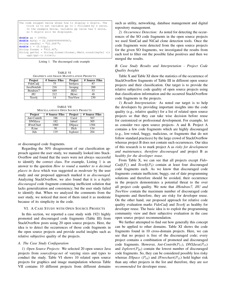| The code snippet below shows how to display n digits. The<br>trick is to set variable pp to 1 followed by n zeros.<br>In the example below, variable pp value has 5 zeros,<br>so 5 digits will be displayed. |
|--------------------------------------------------------------------------------------------------------------------------------------------------------------------------------------------------------------|
| <b>double</b> $pp = 10000;$                                                                                                                                                                                  |
| <b>double</b> myVal = $22.268699999999967$ ;                                                                                                                                                                 |
| String needVal = $"22.2687"$ ;                                                                                                                                                                               |
| <b>double</b> $i = (5.0/pp)$ ;                                                                                                                                                                               |
| String format = $"\$ 10.4f";                                                                                                                                                                                 |
| String getVal = String.format(format, (Math.round((myVal +i))<br>$*pp)/(pp) -i) .trim()$ ;                                                                                                                   |

Listing 1. The discouraged code example

TABLE VI GRAPHICS AND IMAGE MANIPULATION PROJECTS

| Project               | # Source Files | Project      | # Source Files |
|-----------------------|----------------|--------------|----------------|
| FidoCadi              | 75             | Im4java      | 87             |
| JavaNotelab           | 216            | Javapeg      | 200            |
| Jhotdraw <sub>7</sub> | 689            | JID2         | 53             |
| ШJ                    | 2.12           | <b>JKiwi</b> | 48             |
| Tess4i                |                | TreeView     | 230            |

TABLE VII MISCELLANEOUS OPEN SOURCE PROJECTS

| Project           | # Source Files | Project       | # Source Files |
|-------------------|----------------|---------------|----------------|
| Ant-Contrib       | 186            | Carol         | 367            |
| <b>DNSJava</b>    | 182            | Jabref        | 305            |
| <b>JFreeChart</b> | 1060           | <b>DSpace</b> | 1304           |
| <b>JLine</b>      | 30             | JSch          | 134            |
| Jtds              | 119            | Jxplorer      | 204            |

or discouraged code fragments.

Regarding the 30% disagreement of our classification approach against the user study, we manually looked into Stack-Overflow and found that the users were not always successful to identify the correct class. For example, Listing 1 is an answer to the question *How to round a number to n decimal places in Java* which was suggested as *moderate* by the user study and our proposed approach marked it as *discouraged*. Analyzing StackOverflow, we also found that it is a *highly discouraged* code fragment containing inefficient solution that lacks generalization and consistency; but the user study failed to identify that. When we analyzed the comments from the user study, we noticed that most of them rated it as moderate because of its simplicity in the code.

#### VI. A CASE STUDY WITH OPEN SOURCE PROJECTS

In this section, we reported a case study with 1921 highly promoted and discouraged code fragments (Table III) from StackOverflow posts using 20 open source projects. Here, the idea is to detect the occurrences of those code fragments in the open source projects and provide useful insights such as relative subjective quality of the projects.

### *A. The Case Study Configuration*

*1) Open Source Projects:* We selected 20 open source Java projects from *sourceforge.net* of varying sizes and types to conduct the study. Table VI shows 10 related open source projects for graphics and image manipulation whereas Table VII contains 10 different projects from different domains such as utility, networking, database management and digital repository management.

*2) Occurrence Detection:* As noted for detecting the occurrences of the SO code fragments in the open source projects we used SimCad and NiCad clone detection tools. Once the code fragments were detected from the open source projects for the given SO fragments, we investigated the results from each tool to filter out the possible false positives and then we merged the results.

# *B. Case Study Results and Interpretation - Project Code Quality Insights*

Table X and Table XI show the statistics of the occurrence of StackOverflow fragments of Table III in different open source projects and their classification. Our target is to provide the relative subjective code quality of open source projects using that classification information and the occurred StackOverflow code fragments in the projects.

*1) Result Interpretation:* As noted our target is to help the developers by providing important insights into the code quality (e.g., relative quality) for a list of related open source projects so that they can take wise decision before reuse for customized or professional development. For example, let us consider two open source projects- A and B. Project A contains a few code fragments which are highly discouraged (e.g., low-voted, buggy, malicious, or fragments that do not follow standard practices) by the large crowd of StackOverflow whereas project B does not contain such occurrences. Our idea of this research is to mark project A as *risky for development and maintenance, therefore discouraged* and project B as *healthy for the developer reuse*.

From Table X, we can see that all projects except *Fido-* $Cadj(P_1)$  and  $Tess4j(P_9)$  contain at least four discouraged code fragments each. As we know that discouraged code fragments contain inefficient, buggy, out of date programming solutions and therefore should be avoided, their occurrence in the projects demonstrates a potential threat to the over all project code quality. We note that *JHotdraw7, JIU and TreeView* contain the maximum number of discouraged code fragments and therefore, they are risky for developer reuse. On the other hand, our proposed approach for relative code quality evaluation marks *FidoCadj* and *Tess4j* as healthy for developer reuse. The basic idea is to exploit the programming community view and their subjective evaluation in the case open source project recommendation.

We further attempted to find out how generally this concept can be applied to other domains. Table XI shows the code fragments found in 10 cross-domain projects. Here, we can see that no project is free of the discouraged code; every project contains a combination of promoted and discouraged code fragments. However, *Ant-Contrib*( $P_{11}$ ), *DNSJava*( $P_{13}$ ) and  $Jxplorer(P_{20})$  contain the lowest number of discouraged code fragments. So, they can be considered possibly less risky whereas *DSpace* ( $P_{16}$ ) and *JFreechart*( $P_{15}$ ) hold higher risk than any other projects in the list and therefore, they are *not recommended* for developer reuse.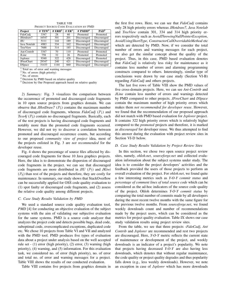| Project           | # $TEW1$ | # $ERH2$ | # $ER^3$ | # $PMDD4$   | PAD <sup>5</sup> |  |  |  |
|-------------------|----------|----------|----------|-------------|------------------|--|--|--|
| FidoCadi          | 3347     | 28       | 60       | Promoted    | Promoted         |  |  |  |
| JHotdraw7         | 16547    | 301      | 201      | Discouraged | Discouraged      |  |  |  |
| ЛU                | 5111     | 144      | 189      | Discouraged | Discouraged      |  |  |  |
| Java Notelab      | 4983     | 334      | 162      | Discouraged | Discouraged      |  |  |  |
| <b>TreeView</b>   | 7688     | 314      | 185      | Discouraged | Discouraged      |  |  |  |
| Ant-Contrib       | 3347     | 70       | 110      | Promoted    | Promoted         |  |  |  |
| <b>II</b> ine     | 758      | 32       | 26       | Promoted    | Promoted         |  |  |  |
| Jxplorer          | 9340     | 322      | 428      | Discouraged | Promoted         |  |  |  |
| <b>JFreeChart</b> | 29347    | 240      | 421      | Discouraged | Discouraged      |  |  |  |
| <b>DSpace</b>     | 31433    | 1144     | 660      | Discouraged | Discouraged      |  |  |  |

TABLE VIII PROJECT SOURCE CODE EVALUATION BY PMD

<sup>1</sup> Total no. of error and warning messages

<sup>2</sup> No. of errors (high priority)

<sup>3</sup> No. of errors

<sup>4</sup> Decision by PMD based on relative quality

<sup>5</sup> Decision by Our Proposed approach based on relative quality

*2) Summary:* Fig. 3 visualizes the comparison between the occurrence of promoted and discouraged code fragments in 10 open source projects from graphics domain. We can observe that *JHotDraw7* ( $P_5$ ) contains the maximum number of discouraged code fragments, whereas  $FidoCadj$  ( $P_1$ ) and *Tess4j* ( $P<sub>9</sub>$ ) contain no discouraged fragments. Basically, each of the rest projects is having discouraged code fragments and notably more than the promoted code fragments occurred. However, we did not try to discover a correlation between promoted and discouraged occurrence counts, but according to our proposed *community view of project* idea, most of the projects enlisted in Fig. 3 are *not recommended* for the developer reuse.

Fig. 4 shows the percentage of source files affected by discouraged code fragments for those 10 Java graphics projects. Here, the idea is to demonstrate the dispersion of discouraged code fragments in the project. we can see that discouraged code fragments are more distributed in *JIU* (P7) and *JKiwi*  $(P_8)$  than rest of the projects and therefore, they are costly for maintenance. In summary, our study shows that StackOverflow can be successfully applied for OSS code quality evaluation to (1) spot faulty or discouraged code fragments, and (2) assess the relative code quality among different projects.

# *C. Case Study Results Validation by PMD*

We used a standard source code quality evaluation tool, *PMD* [4] for conducting an objective evaluation of the subject systems with the aim of validating our subjective evaluation for the same systems. PMD is a source code analyzer that analyzes the project code and detects possible bugs, dead code, suboptimal code, overcomplicated exceptions, duplicated code etc. We chose 10 projects from Table VI and VII and analyzed with the PMD tool. PMD produces five types of evaluation data about a project under analysis based on the well accepted rule set - (1) error (high priority), (2) error, (3) warning (high priority), (4) warning, and (5) information. For this evaluation task, we considered no. of error (high priority), no. of error and total no. of error and warning messages for a project. Table VIII shows the results of our conducted evaluation.

Table VIII contains five projects from graphics domain in

the first five rows. Here, we can see that *FidoCadj* contains only 28 high priority errors whereas *JHotdraw7*, *Java Notelab* and *TreeView* contain 301, 334 and 314 high priority errors respectively such as *AvoidThrowingNullPointerException*, *AvoidUsingShortType*, *ConstructorCallOverridableMethod* etc which are detected by PMD. Now, if we consider the total number of errors and warning messages for each project, we also get the similar concept about the quality of the project. Thus, in this case, PMD based evaluation denotes that *FidoCadj* is relatively less risky for maintenance as it contains less number of errors and alarming programming constructs compared to others. Interestingly, similar type of conclusions were drawn by our case study (Section VI-B) regarding *FidoCadj* and others projects.

The last five rows of Table VIII show the PMD values of five cross-domain projects. Here, we can see *Ant-Contrib* and *JLine* contain less number of errors and warnings detected by PMD compared to other projects. *JFreeChart* and *DSpace* contain the maximum number of high priority errors which makes them *not recommended for developer reuse*. However, we found that the recommendation of our proposed approach did not match with PMD based evaluation for *Jxplorer* project. It contains 322 high priority errors which is relatively higher compared to the *promoted* projects and therefore, it is marked as *discouraged* for developer reuse. We thus attempted to find this answer during the evaluation with project review sites in Section VI-D below.

#### *D. Case Study Results Validation by Project Review Sites*

In this section, we chose two open source project review sites, namely, *ohloh.net*, *sourceforge.net* and collected evaluation information about the subject systems under study. The idea is to consider the project developers' activities and the feedback provided the users of those projects to perform an overall evaluation of the project. For *ohloh.net*, we found quite a few interesting metrics such as *Y-O-Y commit status* and *percentage of comment lines of total source code* which can be considered as the ad-hoc indicators of the source code quality of the project. Ohloh determines *Y-O-Y commit status* by comparing the total number of commits made by all developers during the most recent twelve months with the same figure for the previous twelve months. From *sourceforge.net*, we found weekly downloads count and number of recommendations made by the project users, which can be considered as the metrics for project quality evaluation. Table IX shows our case study validation results using project review sites.

From the table, we see that three projects -*FidoCadj*, *Ant Contrib* and *Jxplorer* are recommended and rest two projects are discouraged. Here, *Y-O-Y* metric reflects the current state of maintenance or development of the project, and weekly downloads is an indicator of a project's popularity. We note that projects having decreased *Y-O-Y* are also having less downloads, which denotes that without regular maintenance, the code quality or project quality degrades and thus popularity falls down (e.g., less weekly downloads). However, we note an exception in case of *Jxplorer* which has more downloads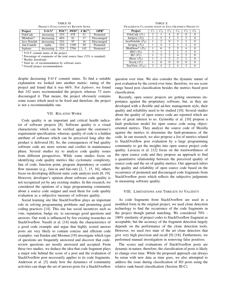| Project          | $Y-O-Y^1$  | POC <sup>2</sup> | # $WD^3$ | # $RC4$ | OPR <sup>5</sup> |
|------------------|------------|------------------|----------|---------|------------------|
| FidoCadi         | increasing | 32%              | 678      | 51      | Promoted         |
| JHotdraw7        | decreasing | 48%              | 81       | 17      | Discouraged      |
| Java Notelab     | decreasing | 32%              | 97       | 16      | Discouraged      |
| Ant-Contrib      | stable     | 32%              | 1199     | 50      | Promoted         |
| <b>J</b> xplorer | decreasing | 32%              | 2794     | 142     | Promoted         |

TABLE IX PROJECT EVALUATION BY REVIEW SITES

<sup>1</sup> Y-O-Y commit status of the project

<sup>2</sup> Percentage of comments of the total source lines (32% is standard)

<sup>3</sup> Weekly downloads

<sup>4</sup> Total no. of recommendation by software users.

<sup>5</sup> Overall project recommendation

despite decreasing *Y-O-Y* commit status. To find a suitable explanation we looked into another metric- rating of the project and found that it was 66%. For *Jxplorer*, we found that 142 users recommended the projects whereas 73 users discouraged it. That means, the project obviously contains some issues which need to be fixed and therefore, the project is not a recommendable one.

# VII. RELATED WORK

Code quality is an important and critical health indicator of software projects [8]. Software quality is a visual characteristic which can be verified against the customer's requirement specification; whereas, quality of code is a hidden attribute of software which can be perceived long after the product is delivered [8]. So, the consequences of bad quality software code are more serious and costlier in maintenance phase. Several studies try to analyze code quality issues from different perspectives. While some studies focus on identifying code quality metrics like cyclomatic complexity, line of code, function point, program dependency or control flow measure (e.g., fain-in and fan-out) [2, 7, 15, 16], others focus on developing different static code analysis tools [8, 19]. However, developer's opinion about software code quality is not recognized yet by any existing studies. In this research, we considered the opinions of a large programming community about a source code snippet and used them for code quality evaluation as a subjective measure of software quality.

Social learning site like StackOverflow plays an important role in solving programming problems and promoting good coding practices [14]. This site has social incentives such as vote, reputation, badge etc. to encourage good questions and answers. Our work is influenced by few existing researches on StackOverflow. Nasehi et al. [14] study the characteristics of a good code example and argue that highly scored answer posts are very likely to contain concise and efficient code examples. van Emden and Moonen [19] investigate which type of questions are frequently answered and discover that codereview questions are mostly answered and accepted. From these two studies, we deduce the idea that code fragment plays a major role behind the score of a post and the evaluation of StackOverflow post necessarily applies to its code fragments. Anderson et al. [5] study how the dynamics of community activities can shape the set of answer posts for a StackOverflow

TABLE X FRAGMENTS CLASSIFICATION IN JAVA GRAPHICS PROJECTS

| Project                               | $C_1$ | $C_2$ | $C_3$ | $C_4$ | $C_5$       | $C_6$ |
|---------------------------------------|-------|-------|-------|-------|-------------|-------|
| FidoCadj $(P_1)$                      | 2     |       |       |       |             |       |
| Im4java $(P_2)$                       |       |       | ٩     | ٩     |             |       |
| JavaNotelab $(P_3)$                   |       |       |       | ٩     |             |       |
| Javapeg $(P_4)$                       |       | 4     | ٩     | ٩     | っ           |       |
| $\overline{\text{JHotDraw7}}$ $(P_5)$ |       | 6     | 5     | 5     |             |       |
| JID2(P <sub>6</sub> )                 | 3     |       | 2     | 2     | 2           |       |
| $JIU(P_7)$                            |       | ς     | ٩     |       | $\mathbf 3$ |       |
| JKiwi $(P_8)$                         |       |       | 2     | 2     | 2           |       |
| Tess4j $(P_1)$                        |       |       | O     | O     |             |       |
| TreeView $(P_{10})$                   |       |       |       |       |             |       |

question over time. We also consider the dynamic nature of post evaluation by the crowd over time; therefore, we use score range based post classification besides the metrics based post classification.

Recently, open source projects are getting enormous importance against the proprietary software, but, as they are developed with a flexible and ad-hoc management style, their quality and reliability need to be studied [10]. Several studies about the quality of open source code are reported which are also of great interest to us. Gyimothy et al. [10] propose a fault prediction model for open source code using objectoriented metrics. They analyze the source code of Mozilla against the metrics to determine the fault-proneness of the code. In our research, we also propose a list of metrics related to StackOverflow post evaluation by a large programming community to get the insights into open source project code quality. Lavazza et al. [12] focus on the trustworthiness of the open source code and they propose an approach to find a quantitative relationship between the perceived quality of source code and the set of quality metrics. Our approach infers the quality and reliability of open source code based on the occurrence of promoted and discouraged code fragments from StackOverflow posts which reflects the subjective judgments in measuring software quality.

## VIII. LIMITATIONS AND THREATS TO VALIDITY

As code fragments from StackOverflow are used in a modified form in the original project, we used clone detection technology to find the occurrence of the code fragments in the project though partial matching. We considered 70% - 100% similarity of project codes to StackOverflow fragment as acceptable, but the accuracy of the fragment detection largely depends on the performance of the clone detection tools. However, we used two state of the art clone detectors that give very high precision and recall [9] [18]. Furthermore, we performed manual investigation in removing false positives.

The scores and evaluations of StackOverflow posts are dynamic in nature, therefore, the classification of posts is likely to change over time. While the proposed approach can always be rerun with new data as time goes, we also attempted to address the issue during classification of SO posts using the relative rank-based classification (Section III-C).